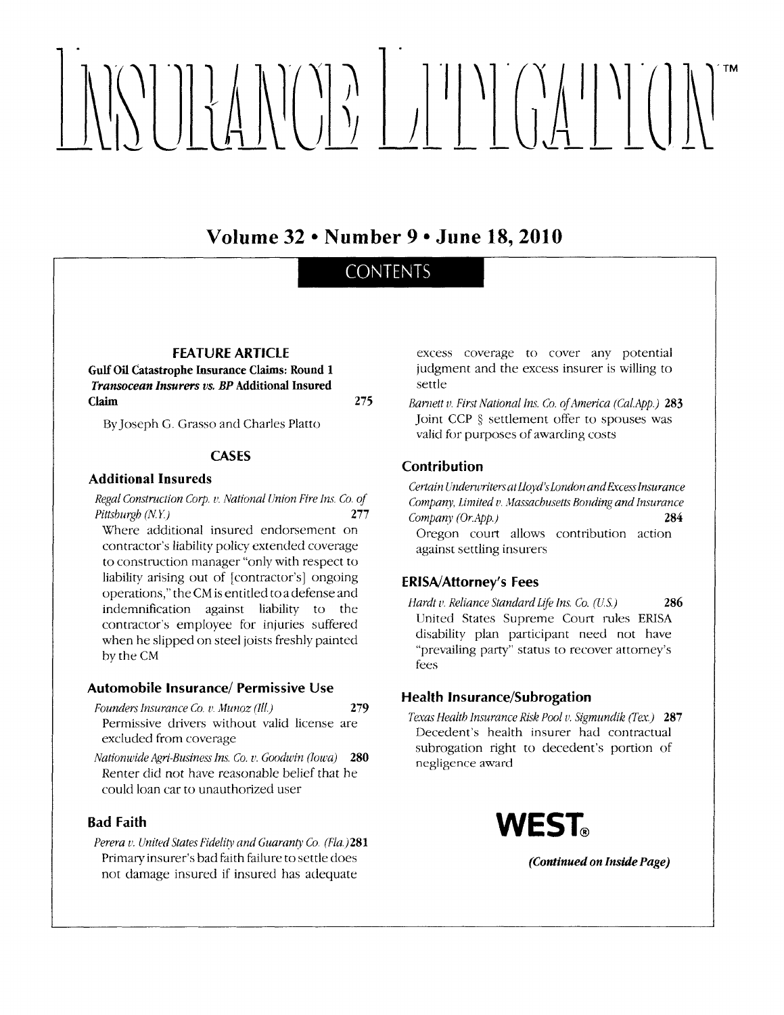# 

Volume 32 . Number 9 . June 18, 2010

## **CONTENTS**

275

#### **FEATURE ARTICLE**

**Gulf Oil Catastrophe Insurance Claims: Round 1** Transocean Insurers vs. BP Additional Insured Claim

By Joseph G. Grasso and Charles Platto

#### **CASES**

#### **Additional Insureds**

Regal Construction Corp. v. National Union Fire Ins. Co. of Pittsburgh  $(N.Y.)$ 277

Where additional insured endorsement on contractor's liability policy extended coverage to construction manager "only with respect to liability arising out of [contractor's] ongoing operations," the CM is entitled to a defense and indemnification against liability to the contractor's employee for injuries suffered when he slipped on steel joists freshly painted by the CM

#### **Automobile Insurance/ Permissive Use**

Founders Insurance Co. v. Munoz (Ill.) 279 Permissive drivers without valid license are excluded from coverage

Nationwide Agri-Business Ins. Co. v. Goodwin (lowa) 280 Renter did not have reasonable belief that he could loan car to unauthorized user

#### **Bad Faith**

Perera v. United States Fidelity and Guaranty Co. (Fla.)281 Primary insurer's bad faith failure to settle does not damage insured if insured has adequate

excess coverage to cover any potential judgment and the excess insurer is willing to settle

Barnett v. First National Ins. Co. of America (Cal.App.) 283 Joint CCP § settlement offer to spouses was valid for purposes of awarding costs

#### Contribution

Certain Underwriters at Lloyd's London and Excess Insurance Company, Limited v. Massachusetts Bonding and Insurance Company (Or.App.) 284 Oregon court allows contribution action against settling insurers

#### **ERISA/Attorney's Fees**

Hardt v. Reliance Standard Life Ins. Co. (U.S.) 286 United States Supreme Court rules ERISA disability plan participant need not have "prevailing party" status to recover attorney's fees

#### **Health Insurance/Subrogation**

Texas Health Insurance Risk Pool v. Sigmundik (Tex.) 287 Decedent's health insurer had contractual subrogation right to decedent's portion of negligence award



(Continued on Inside Page)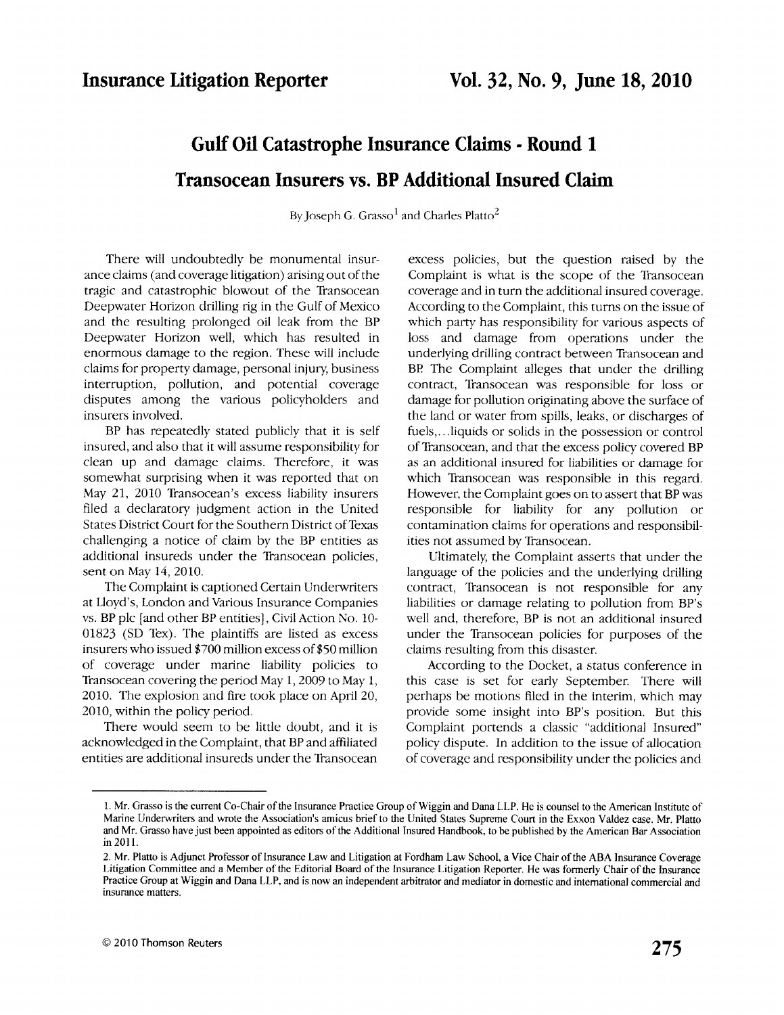# Gulf Oil Catastrophe Insurance Claims - Round <sup>1</sup> Transocean Insurers vs. BP Additional Insured Claim

By Joseph G. Grasso<sup>1</sup> and Charles Platto<sup>2</sup>

There will undoubtedlv be monumental insurance claims (and coverage litigation) arising out of the tragic and catastrophic blowout of the Tiansocean Deepwater Horizon drilling rig in the Gulf of Mexico and the resulting prolonged oil leak from the BP Deepwater Horizon well, which has resulted in enormous damage to the region. These will include claims for property damage, personal iniury business interruption, pollution, and potential coverage disputes among the various policyholders and insurers involved.

BP has repeatedly stated publicly that it is self insured, and also that it will assume responsibility for clean up and damage claims. Therefore, it was somewhat surprising when it was reported that on May 21, 2010 Transocean's excess liability insurers filed a declaratory judgment action in the United States District Court for the Southern District of Texas challenging a notice of claim by the BP entities as additional insureds under the Transocean policies, sent on May 14,2010.

The Complaint is captioned Certain Underwriters at Lloyd's, London and Various Insurance Companies vs. BP plc [and other BP entities], Civil Action No. 10- 01823 (SD Tex). The plaintiffs are listed as excess insurers who issued \$700 million excess of \$50 million of coverage under marine liability policies to Transocean covering the period May 1, 2009 to May 1, 2010. The explosion and fire took place on April 20, 2010, within the policy period.

There would seem to be little doubt, and it is acknowledged in the Complaint, that BP and afifiliated entities are additional insureds under the Transocean

excess policies, but the question raised by the Complaint is what is the scope of the Transocean coverage and in turn the adclitional insured coverage. According to the Complaint, this turns on the issue of which party has responsibility for various aspects of loss and damage from operations under the underlying drilling contract between Transocean and BP The Complaint alleges that under the drilling contract, Tiansocean was responsible for loss or damage for pollution originating above the surface of the land or water from spills, leaks, or discharges of fuels,...liquids or solids in the possession or control of Tiznsocean, and that the excess poliry covered BP as an additional insured for liabilities or damage for which Transocean was responsible in this regard. However, the Complaint goes on to assert that BP was responsible for liability for any pollution or contamination claims for operations and responsibilities not assumed by Transocean.

Ultimately, the Complaint asserts that under the language of the policies and the underlying drilling contract, Thansocean is not responsible for any liabilities or damage relating to pollution from BP's well and, therefore, BP is not an additional insured under the Transocean policies for purposes of the claims resulting from this disaster.

According to the Docket, a status conference in this case is set for early September. There will perhaps be motions filed in the interim, which may provide some insight into BP's position. But this Complaint portends a classic "additional Insured" policy dispute. In addition to the issue of allocation of coverage and responsibility under the policies and

<sup>1.</sup> Mr. Grasso is the current Co-Chair of the Insurance Practice Group of Wiggin and Dana LLP. He is counsel to the American lnstitute of Marine Underwriters and wrote the Association's amicus brief to the United States Supreme Court in the Exxon Valdez case. Mr. Platto and Mr. Grasso have just been appointed as editors of the Additional Insured Handbook, to be published by the American Bar Association in 201l.

<sup>2.</sup> Mr. Platto is Adjunct Professor of Insurance Law and Litigation at Fordham Law School, a Vice Chair of the ABA Insurance Coverage Litigation Committee and a Member of the Editorial Board of the Insurance Litigation Reporter. He was formerly Chair of the lnsurance Practice Group at Wiggin and Dana LLP. and is now an independent arbitrator and mediator in domestic and intemational commercial and insurance matters.